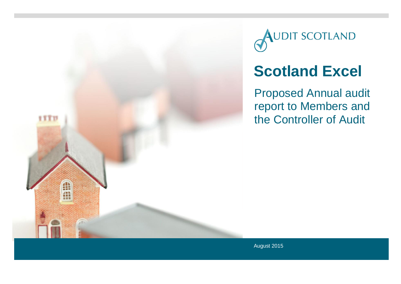

**AUDIT SCOTLAND** 

# **Scotland Excel**

Proposed Annual audit report to Members and the Controller of Audit

August 2015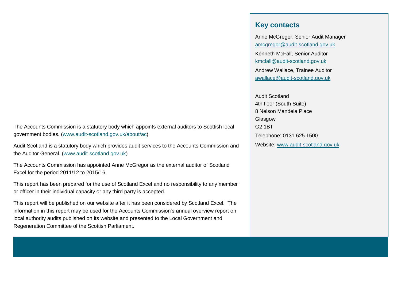The Accounts Commission is a statutory body which appoints external auditors to Scottish local government bodies. [\(www.audit-scotland.gov.uk/about/ac\)](file:///C:/Users/DOMIVY/Desktop/Audit%20Scotland/Template%202015/www.audit-scotland.gov.uk/about/ac)

Audit Scotland is a statutory body which provides audit services to the Accounts Commission and the Auditor General. [\(www.audit-scotland.gov.uk\)](file:///C:/Users/DOMIVY/Desktop/Audit%20Scotland/Template%202015/www.audit-scotland.gov.uk)

The Accounts Commission has appointed Anne McGregor as the external auditor of Scotland Excel for the period 2011/12 to 2015/16.

This report has been prepared for the use of Scotland Excel and no responsibility to any member or officer in their individual capacity or any third party is accepted.

This report will be published on our website after it has been considered by Scotland Excel. The information in this report may be used for the Accounts Commission's annual overview report on local authority audits published on its website and presented to the Local Government and Regeneration Committee of the Scottish Parliament.

#### **Key contacts**

Anne McGregor, Senior Audit Manager [amcgregor@audit-scotland.gov.uk](mailto:amcgregor@audit-scotland.gov.uk) Kenneth McFall, Senior Auditor [kmcfall@audit-scotland.gov.uk](mailto:kmcfall@audit-scotland.gov.uk) Andrew Wallace, Trainee Auditor [awallace@audit-scotland.gov.uk](mailto:awallace@audit-scotland.gov.uk)

Audit Scotland 4th floor (South Suite) 8 Nelson Mandela Place Glasgow G2 1BT Telephone: 0131 625 1500 Website: [www.audit-scotland.gov.uk](http://www.audit-scotland.gov.uk/)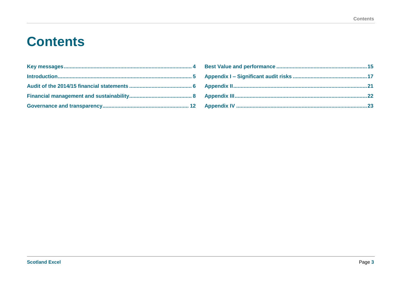# **Contents**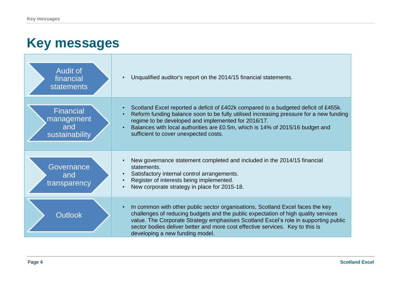# **Key messages**

| <b>Audit of</b><br>financial<br>statements              | Unqualified auditor's report on the 2014/15 financial statements.<br>$\bullet$                                                                                                                                                                                                                                                                                                  |
|---------------------------------------------------------|---------------------------------------------------------------------------------------------------------------------------------------------------------------------------------------------------------------------------------------------------------------------------------------------------------------------------------------------------------------------------------|
| <b>Financial</b><br>management<br>and<br>sustainability | Scotland Excel reported a deficit of £402k compared to a budgeted deficit of £455k.<br>Reform funding balance soon to be fully utilised increasing pressure for a new funding<br>regime to be developed and implemented for 2016/17.<br>Balances with local authorities are £0.5m, which is 14% of 2015/16 budget and<br>sufficient to cover unexpected costs.                  |
| Governance<br>and<br>transparency                       | New governance statement completed and included in the 2014/15 financial<br>statements.<br>Satisfactory internal control arrangements.<br>Register of interests being implemented.<br>New corporate strategy in place for 2015-18.                                                                                                                                              |
| <b>Outlook</b>                                          | In common with other public sector organisations, Scotland Excel faces the key<br>challenges of reducing budgets and the public expectation of high quality services<br>value. The Corporate Strategy emphasises Scotland Excel's role in supporting public<br>sector bodies deliver better and more cost effective services. Key to this is<br>developing a new funding model. |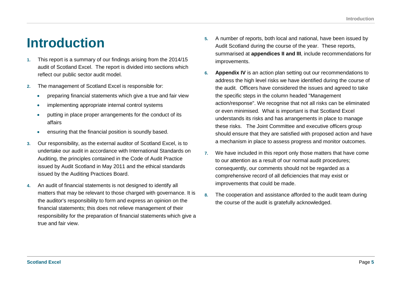## **Introduction**

- **1.** This report is a summary of our findings arising from the 2014/15 audit of Scotland Excel. The report is divided into sections which reflect our public sector audit model.
- **2.** The management of Scotland Excel is responsible for:
	- preparing financial statements which give a true and fair view
	- implementing appropriate internal control systems
	- putting in place proper arrangements for the conduct of its affairs
	- ensuring that the financial position is soundly based.
- **3.** Our responsibility, as the external auditor of Scotland Excel, is to undertake our audit in accordance with International Standards on Auditing, the principles contained in the Code of Audit Practice issued by Audit Scotland in May 2011 and the ethical standards issued by the Auditing Practices Board.
- **4.** An audit of financial statements is not designed to identify all matters that may be relevant to those charged with governance. It is the auditor's responsibility to form and express an opinion on the financial statements; this does not relieve management of their responsibility for the preparation of financial statements which give a true and fair view.
- **5.** A number of reports, both local and national, have been issued by Audit Scotland during the course of the year. These reports, summarised at **appendices II and III**, include recommendations for improvements.
- **6. Appendix IV** is an action plan setting out our recommendations to address the high level risks we have identified during the course of the audit. Officers have considered the issues and agreed to take the specific steps in the column headed "Management action/response". We recognise that not all risks can be eliminated or even minimised. What is important is that Scotland Excel understands its risks and has arrangements in place to manage these risks. The Joint Committee and executive officers group should ensure that they are satisfied with proposed action and have a mechanism in place to assess progress and monitor outcomes.
- **7.** We have included in this report only those matters that have come to our attention as a result of our normal audit procedures; consequently, our comments should not be regarded as a comprehensive record of all deficiencies that may exist or improvements that could be made.
- **8.** The cooperation and assistance afforded to the audit team during the course of the audit is gratefully acknowledged.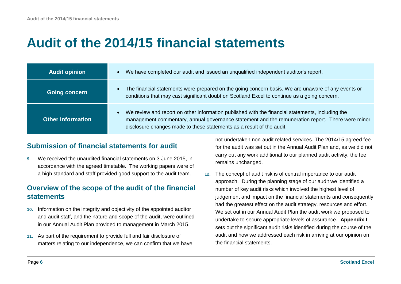# **Audit of the 2014/15 financial statements**

| <b>Audit opinion</b>     | We have completed our audit and issued an unqualified independent auditor's report.                                                                                                                                                                                           |
|--------------------------|-------------------------------------------------------------------------------------------------------------------------------------------------------------------------------------------------------------------------------------------------------------------------------|
| <b>Going concern</b>     | The financial statements were prepared on the going concern basis. We are unaware of any events or<br>conditions that may cast significant doubt on Scotland Excel to continue as a going concern.                                                                            |
| <b>Other information</b> | We review and report on other information published with the financial statements, including the<br>management commentary, annual governance statement and the remuneration report. There were minor<br>disclosure changes made to these statements as a result of the audit. |

#### **Submission of financial statements for audit**

**9.** We received the unaudited financial statements on 3 June 2015, in accordance with the agreed timetable. The working papers were of a high standard and staff provided good support to the audit team.

#### **Overview of the scope of the audit of the financial statements**

- **10.** Information on the integrity and objectivity of the appointed auditor and audit staff, and the nature and scope of the audit, were outlined in our Annual Audit Plan provided to management in March 2015.
- **11.** As part of the requirement to provide full and fair disclosure of matters relating to our independence, we can confirm that we have

not undertaken non-audit related services. The 2014/15 agreed fee for the audit was set out in the Annual Audit Plan and, as we did not carry out any work additional to our planned audit activity, the fee remains unchanged.

**12.** The concept of audit risk is of central importance to our audit approach. During the planning stage of our audit we identified a number of key audit risks which involved the highest level of judgement and impact on the financial statements and consequently had the greatest effect on the audit strategy, resources and effort. We set out in our Annual Audit Plan the audit work we proposed to undertake to secure appropriate levels of assurance. **Appendix I** sets out the significant audit risks identified during the course of the audit and how we addressed each risk in arriving at our opinion on the financial statements.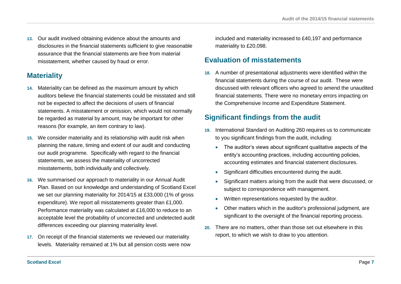**13.** Our audit involved obtaining evidence about the amounts and disclosures in the financial statements sufficient to give reasonable assurance that the financial statements are free from material misstatement, whether caused by fraud or error.

#### **Materiality**

- **14.** Materiality can be defined as the maximum amount by which auditors believe the financial statements could be misstated and still not be expected to affect the decisions of users of financial statements. A misstatement or omission, which would not normally be regarded as material by amount, may be important for other reasons (for example, an item contrary to law).
- **15.** We consider materiality and its relationship with audit risk when planning the nature, timing and extent of our audit and conducting our audit programme. Specifically with regard to the financial statements, we assess the materiality of uncorrected misstatements, both individually and collectively.
- **16.** We summarised our approach to materiality in our Annual Audit Plan. Based on our knowledge and understanding of Scotland Excel we set our planning materiality for 2014/15 at £33,000 (1% of gross expenditure). We report all misstatements greater than £1,000. Performance materiality was calculated at £16,000 to reduce to an acceptable level the probability of uncorrected and undetected audit differences exceeding our planning materiality level.
- **17.** On receipt of the financial statements we reviewed our materiality levels. Materiality remained at 1% but all pension costs were now

included and materiality increased to £40,197 and performance materiality to £20,098.

#### **Evaluation of misstatements**

**18.** A number of presentational adjustments were identified within the financial statements during the course of our audit. These were discussed with relevant officers who agreed to amend the unaudited financial statements. There were no monetary errors impacting on the Comprehensive Income and Expenditure Statement.

### **Significant findings from the audit**

- **19.** International Standard on Auditing 260 requires us to communicate to you significant findings from the audit, including:
	- The auditor's views about significant qualitative aspects of the entity's accounting practices, including accounting policies, accounting estimates and financial statement disclosures.
	- Significant difficulties encountered during the audit.
	- Significant matters arising from the audit that were discussed, or subject to correspondence with management.
	- Written representations requested by the auditor.
	- Other matters which in the auditor's professional judgment, are significant to the oversight of the financial reporting process.
- **20.** There are no matters, other than those set out elsewhere in this report, to which we wish to draw to you attention.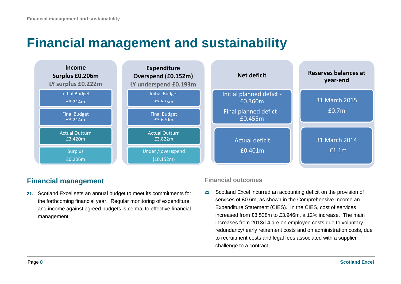## **Financial management and sustainability**



#### **Financial management**

**21.** Scotland Excel sets an annual budget to meet its commitments for the forthcoming financial year. Regular monitoring of expenditure and income against agreed budgets is central to effective financial management.

#### **Financial outcomes**

**22.** Scotland Excel incurred an accounting deficit on the provision of services of £0.6m, as shown in the Comprehensive Income an Expenditure Statement (CIES). In the CIES, cost of services increased from £3.538m to £3.946m, a 12% increase. The main increases from 2013/14 are on employee costs due to voluntary redundancy/ early retirement costs and on administration costs, due to recruitment costs and legal fees associated with a supplier challenge to a contract.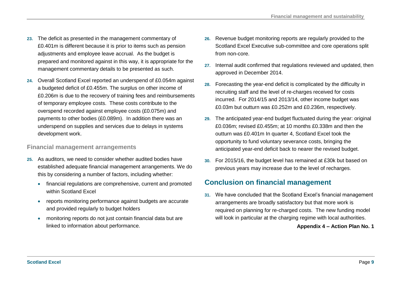- **23.** The deficit as presented in the management commentary of £0.401m is different because it is prior to items such as pension adjustments and employee leave accrual. As the budget is prepared and monitored against in this way, it is appropriate for the management commentary details to be presented as such.
- **24.** Overall Scotland Excel reported an underspend of £0.054m against a budgeted deficit of £0.455m. The surplus on other income of £0.206m is due to the recovery of training fees and reimbursements of temporary employee costs. These costs contribute to the overspend recorded against employee costs (£0.075m) and payments to other bodies (£0.089m). In addition there was an underspend on supplies and services due to delays in systems development work.

#### **Financial management arrangements**

- **25.** As auditors, we need to consider whether audited bodies have established adequate financial management arrangements. We do this by considering a number of factors, including whether:
	- financial regulations are comprehensive, current and promoted within Scotland Excel
	- reports monitoring performance against budgets are accurate and provided regularly to budget holders
	- monitoring reports do not just contain financial data but are linked to information about performance.
- **26.** Revenue budget monitoring reports are regularly provided to the Scotland Excel Executive sub-committee and core operations split from non-core.
- **27.** Internal audit confirmed that regulations reviewed and updated, then approved in December 2014.
- **28.** Forecasting the year-end deficit is complicated by the difficulty in recruiting staff and the level of re-charges received for costs incurred. For 2014/15 and 2013/14, other income budget was £0.03m but outturn was £0.252m and £0.236m, respectively.
- **29.** The anticipated year-end budget fluctuated during the year: original £0.036m; revised £0.455m; at 10 months £0.338m and then the outturn was £0.401m In quarter 4, Scotland Excel took the opportunity to fund voluntary severance costs, bringing the anticipated year-end deficit back to nearer the revised budget.
- **30.** For 2015/16, the budget level has remained at £30k but based on previous years may increase due to the level of recharges.

## **Conclusion on financial management**

**31.** We have concluded that the Scotland Excel's financial management arrangements are broadly satisfactory but that more work is required on planning for re-charged costs. The new funding model will look in particular at the charging regime with local authorities.

#### **Appendix 4 – Action Plan No. 1**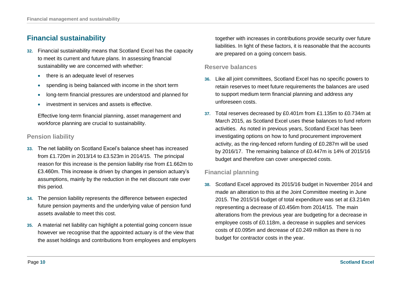### **Financial sustainability**

- **32.** Financial sustainability means that Scotland Excel has the capacity to meet its current and future plans. In assessing financial sustainability we are concerned with whether:
	- there is an adequate level of reserves
	- spending is being balanced with income in the short term
	- long-term financial pressures are understood and planned for
	- investment in services and assets is effective.

Effective long-term financial planning, asset management and workforce planning are crucial to sustainability.

#### **Pension liability**

- **33.** The net liability on Scotland Excel's balance sheet has increased from £1.720m in 2013/14 to £3.523m in 2014/15. The principal reason for this increase is the pension liability rise from £1.662m to £3.460m. This increase is driven by changes in pension actuary's assumptions, mainly by the reduction in the net discount rate over this period.
- **34.** The pension liability represents the difference between expected future pension payments and the underlying value of pension fund assets available to meet this cost.
- **35.** A material net liability can highlight a potential going concern issue however we recognise that the appointed actuary is of the view that the asset holdings and contributions from employees and employers

together with increases in contributions provide security over future liabilities. In light of these factors, it is reasonable that the accounts are prepared on a going concern basis.

#### **Reserve balances**

- **36.** Like all joint committees, Scotland Excel has no specific powers to retain reserves to meet future requirements the balances are used to support medium term financial planning and address any unforeseen costs.
- **37.** Total reserves decreased by £0.401m from £1.135m to £0.734m at March 2015, as Scotland Excel uses these balances to fund reform activities. As noted in previous years, Scotland Excel has been investigating options on how to fund procurement improvement activity, as the ring-fenced reform funding of £0.287m will be used by 2016/17. The remaining balance of £0.447m is 14% of 2015/16 budget and therefore can cover unexpected costs.

#### **Financial planning**

**38.** Scotland Excel approved its 2015/16 budget in November 2014 and made an alteration to this at the Joint Committee meeting in June 2015. The 2015/16 budget of total expenditure was set at £3.214m representing a decrease of £0.456m from 2014/15. The main alterations from the previous year are budgeting for a decrease in employee costs of £0.118m, a decrease in supplies and services costs of £0.095m and decrease of £0.249 million as there is no budget for contractor costs in the year.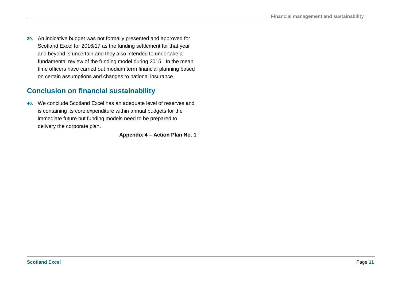**39.** An indicative budget was not formally presented and approved for Scotland Excel for 2016/17 as the funding settlement for that year and beyond is uncertain and they also intended to undertake a fundamental review of the funding model during 2015. In the mean time officers have carried out medium term financial planning based on certain assumptions and changes to national insurance.

#### **Conclusion on financial sustainability**

**40.** We conclude Scotland Excel has an adequate level of reserves and is containing its core expenditure within annual budgets for the immediate future but funding models need to be prepared to delivery the corporate plan.

**Appendix 4 – Action Plan No. 1**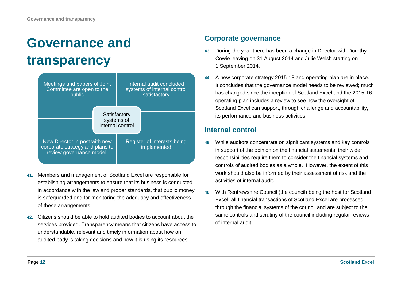# **Governance and transparency**



- **41.** Members and management of Scotland Excel are responsible for establishing arrangements to ensure that its business is conducted in accordance with the law and proper standards, that public money is safeguarded and for monitoring the adequacy and effectiveness of these arrangements.
- **42.** Citizens should be able to hold audited bodies to account about the services provided. Transparency means that citizens have access to understandable, relevant and timely information about how an audited body is taking decisions and how it is using its resources.

#### **Corporate governance**

- **43.** During the year there has been a change in Director with Dorothy Cowie leaving on 31 August 2014 and Julie Welsh starting on 1 September 2014.
- **44.** A new corporate strategy 2015-18 and operating plan are in place. It concludes that the governance model needs to be reviewed; much has changed since the inception of Scotland Excel and the 2015-16 operating plan includes a review to see how the oversight of Scotland Excel can support, through challenge and accountability, its performance and business activities.

#### **Internal control**

- **45.** While auditors concentrate on significant systems and key controls in support of the opinion on the financial statements, their wider responsibilities require them to consider the financial systems and controls of audited bodies as a whole. However, the extent of this work should also be informed by their assessment of risk and the activities of internal audit.
- **46.** With Renfrewshire Council (the council) being the host for Scotland Excel, all financial transactions of Scotland Excel are processed through the financial systems of the council and are subject to the same controls and scrutiny of the council including regular reviews of internal audit.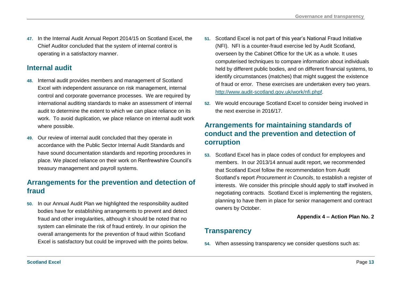**47.** In the Internal Audit Annual Report 2014/15 on Scotland Excel, the Chief Auditor concluded that the system of internal control is operating in a satisfactory manner.

#### **Internal audit**

- **48.** Internal audit provides members and management of Scotland Excel with independent assurance on risk management, internal control and corporate governance processes. We are required by international auditing standards to make an assessment of internal audit to determine the extent to which we can place reliance on its work. To avoid duplication, we place reliance on internal audit work where possible.
- **49.** Our review of internal audit concluded that they operate in accordance with the Public Sector Internal Audit Standards and have sound documentation standards and reporting procedures in place. We placed reliance on their work on Renfrewshire Council's treasury management and payroll systems.

### **Arrangements for the prevention and detection of fraud**

**50.** In our Annual Audit Plan we highlighted the responsibility audited bodies have for establishing arrangements to prevent and detect fraud and other irregularities, although it should be noted that no system can eliminate the risk of fraud entirely. In our opinion the overall arrangements for the prevention of fraud within Scotland Excel is satisfactory but could be improved with the points below.

- **51.** Scotland Excel is not part of this year's National Fraud Initiative (NFI). NFI is a counter-fraud exercise led by Audit Scotland, overseen by the Cabinet Office for the UK as a whole. It uses computerised techniques to compare information about individuals held by different public bodies, and on different financial systems, to identify circumstances (matches) that might suggest the existence of fraud or error. These exercises are undertaken every two years. [http://www.audit-scotland.gov.uk/work/nfi.phpf.](http://www.audit-scotland.gov.uk/work/nfi.phpf)
- **52.** We would encourage Scotland Excel to consider being involved in the next exercise in 2016/17.

### **Arrangements for maintaining standards of conduct and the prevention and detection of corruption**

**53.** Scotland Excel has in place codes of conduct for employees and members. In our 2013/14 annual audit report, we recommended that Scotland Excel follow the recommendation from Audit Scotland's report *Procurement in Councils*, to establish a register of interests. We consider this principle should apply to staff involved in negotiating contracts. Scotland Excel is implementing the registers, planning to have them in place for senior management and contract owners by October.

**Appendix 4 – Action Plan No. 2**

#### **Transparency**

**54.** When assessing transparency we consider questions such as: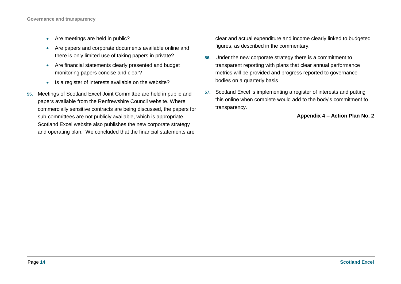- Are meetings are held in public?
- Are papers and corporate documents available online and there is only limited use of taking papers in private?
- Are financial statements clearly presented and budget monitoring papers concise and clear?
- Is a register of interests available on the website?
- **55.** Meetings of Scotland Excel Joint Committee are held in public and papers available from the Renfrewshire Council website. Where commercially sensitive contracts are being discussed, the papers for sub-committees are not publicly available, which is appropriate. Scotland Excel website also publishes the new corporate strategy and operating plan. We concluded that the financial statements are

clear and actual expenditure and income clearly linked to budgeted figures, as described in the commentary.

- **56.** Under the new corporate strategy there is a commitment to transparent reporting with plans that clear annual performance metrics will be provided and progress reported to governance bodies on a quarterly basis
- **57.** Scotland Excel is implementing a register of interests and putting this online when complete would add to the body's commitment to transparency.

#### **Appendix 4 – Action Plan No. 2**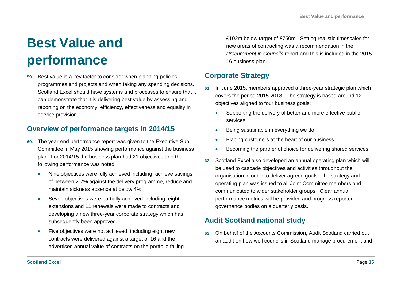# **Best Value and performance**

**59.** Best value is a key factor to consider when planning policies, programmes and projects and when taking any spending decisions. Scotland Excel should have systems and processes to ensure that it can demonstrate that it is delivering best value by assessing and reporting on the economy, efficiency, effectiveness and equality in service provision.

### **Overview of performance targets in 2014/15**

- **60.** The year-end performance report was given to the Executive Sub-Committee in May 2015 showing performance against the business plan. For 2014/15 the business plan had 21 objectives and the following performance was noted:
	- Nine objectives were fully achieved including: achieve savings of between 2-7% against the delivery programme, reduce and maintain sickness absence at below 4%.
	- Seven objectives were partially achieved including: eight extensions and 11 renewals were made to contracts and developing a new three-year corporate strategy which has subsequently been approved.
	- Five objectives were not achieved, including eight new contracts were delivered against a target of 16 and the advertised annual value of contracts on the portfolio falling

£102m below target of £750m. Setting realistic timescales for new areas of contracting was a recommendation in the *Procurement in Councils* report and this is included in the 2015- 16 business plan.

### **Corporate Strategy**

- **61.** In June 2015, members approved a three-year strategic plan which covers the period 2015-2018. The strategy is based around 12 objectives aligned to four business goals:
	- Supporting the delivery of better and more effective public services.
	- **Being sustainable in everything we do.**
	- Placing customers at the heart of our business.
	- Becoming the partner of choice for delivering shared services.
- **62.** Scotland Excel also developed an annual operating plan which will be used to cascade objectives and activities throughout the organisation in order to deliver agreed goals. The strategy and operating plan was issued to all Joint Committee members and communicated to wider stakeholder groups. Clear annual performance metrics will be provided and progress reported to governance bodies on a quarterly basis.

### **Audit Scotland national study**

**63.** On behalf of the Accounts Commission, Audit Scotland carried out an audit on how well councils in Scotland manage procurement and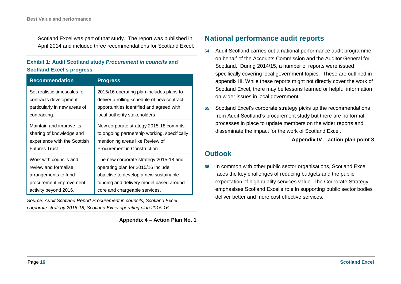Scotland Excel was part of that study. The report was published in April 2014 and included three recommendations for Scotland Excel.

#### **Exhibit 1: Audit Scotland study** *Procurement in councils* **and Scotland Excel's progress**

| <b>Recommendation</b>        | <b>Progress</b>                              |
|------------------------------|----------------------------------------------|
| Set realistic timescales for | 2015/16 operating plan includes plans to     |
| contracts development,       | deliver a rolling schedule of new contract   |
| particularly in new areas of | opportunities identified and agreed with     |
| contracting.                 | local authority stakeholders.                |
| Maintain and improve its     | New corporate strategy 2015-18 commits       |
| sharing of knowledge and     | to ongoing partnership working, specifically |
| experience with the Scottish | mentioning areas like Review of              |
| <b>Futures Trust.</b>        | Procurement in Construction.                 |
| Work with councils and       | The new corporate strategy 2015-18 and       |
| review and formalise         | operating plan for 2015/16 include           |
| arrangements to fund         | objective to develop a new sustainable       |
| procurement improvement      | funding and delivery model based around      |
| activity beyond 2016.        | core and chargeable services.                |

*Source: Audit Scotland Report Procurement in councils; Scotland Excel corporate strategy 2015-18; Scotland Excel operating plan 2015-16*

**Appendix 4 – Action Plan No. 1**

#### **National performance audit reports**

- **64.** Audit Scotland carries out a national performance audit programme on behalf of the Accounts Commission and the Auditor General for Scotland. During 2014/15, a number of reports were issued specifically covering local government topics. These are outlined in appendix III. While these reports might not directly cover the work of Scotland Excel, there may be lessons learned or helpful information on wider issues in local government.
- **65.** Scotland Excel's corporate strategy picks up the recommendations from Audit Scotland's procurement study but there are no formal processes in place to update members on the wider reports and disseminate the impact for the work of Scotland Excel.

**Appendix IV – action plan point 3**

#### **Outlook**

**66.** In common with other public sector organisations, Scotland Excel faces the key challenges of reducing budgets and the public expectation of high quality services value. The Corporate Strategy emphasises Scotland Excel's role in supporting public sector bodies deliver better and more cost effective services.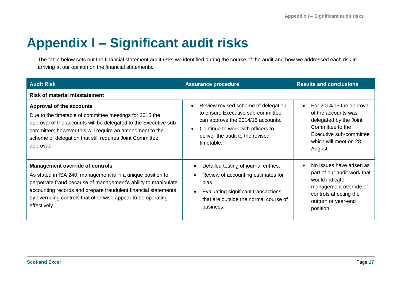# **Appendix I – Significant audit risks**

The table below sets out the financial statement audit risks we identified during the course of the audit and how we addressed each risk in arriving at our opinion on the financial statements.

| <b>Audit Risk</b>                                                                                                                                                                                                                                                                                                         | <b>Assurance procedure</b>                                                                                                                                                                                        | <b>Results and conclusions</b>                                                                                                                                                 |
|---------------------------------------------------------------------------------------------------------------------------------------------------------------------------------------------------------------------------------------------------------------------------------------------------------------------------|-------------------------------------------------------------------------------------------------------------------------------------------------------------------------------------------------------------------|--------------------------------------------------------------------------------------------------------------------------------------------------------------------------------|
| <b>Risk of material misstatement</b>                                                                                                                                                                                                                                                                                      |                                                                                                                                                                                                                   |                                                                                                                                                                                |
| <b>Approval of the accounts</b><br>Due to the timetable of committee meetings for 2015 the<br>approval of the accounts will be delegated to the Executive sub-<br>committee; however this will require an amendment to the<br>scheme of delegation that still requires Joint Committee<br>approval.                       | Review revised scheme of delegation<br>$\bullet$<br>to ensure Executive sub-committee<br>can approve the 2014/15 accounts.<br>Continue to work with officers to<br>deliver the audit to the revised<br>timetable. | For 2014/15 the approval<br>$\bullet$<br>of the accounts was<br>delegated by the Joint<br>Committee to the<br>Executive sub-committee<br>which will meet on 28<br>August.      |
| <b>Management override of controls</b><br>As stated in ISA 240, management is in a unique position to<br>perpetrate fraud because of management's ability to manipulate<br>accounting records and prepare fraudulent financial statements<br>by overriding controls that otherwise appear to be operating<br>effectively. | Detailed testing of journal entries.<br>Review of accounting estimates for<br>bias.<br>Evaluating significant transactions<br>that are outside the normal course of<br>business.                                  | No issues have arisen as<br>$\bullet$<br>part of our audit work that<br>would indicate<br>management override of<br>controls affecting the<br>outturn or year-end<br>position. |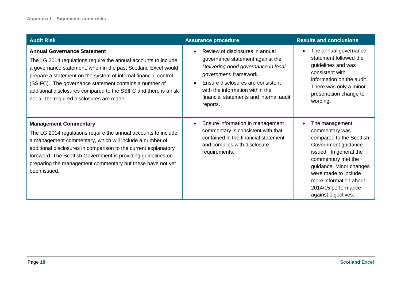| <b>Audit Risk</b>                                                                                                                                                                                                                                                                                                                                                                                                    | <b>Assurance procedure</b>                                                                                                                                                                                                                                          | <b>Results and conclusions</b>                                                                                                                                                                                                                                 |
|----------------------------------------------------------------------------------------------------------------------------------------------------------------------------------------------------------------------------------------------------------------------------------------------------------------------------------------------------------------------------------------------------------------------|---------------------------------------------------------------------------------------------------------------------------------------------------------------------------------------------------------------------------------------------------------------------|----------------------------------------------------------------------------------------------------------------------------------------------------------------------------------------------------------------------------------------------------------------|
| <b>Annual Governance Statement</b><br>The LG 2014 regulations require the annual accounts to include<br>a governance statement, when in the past Scotland Excel would<br>prepare a statement on the system of internal financial control<br>(SSIFC). The governance statement contains a number of<br>additional disclosures compared to the SSIFC and there is a risk<br>not all the required disclosures are made. | Review of disclosures in annual<br>governance statement against the<br>Delivering good governance in local<br>government: framework.<br>Ensure disclosures are consistent<br>with the information within the<br>financial statements and internal audit<br>reports. | The annual governance<br>statement followed the<br>guidelines and was<br>consistent with<br>information on the audit.<br>There was only a minor<br>presentation change to<br>wording.                                                                          |
| <b>Management Commentary</b><br>The LG 2014 regulations require the annual accounts to include<br>a management commentary, which will include a number of<br>additional disclosures in comparison to the current explanatory<br>foreword. The Scottish Government is providing guidelines on<br>preparing the management commentary but these have not yet<br>been issued.                                           | Ensure information in management<br>$\bullet$<br>commentary is consistent with that<br>contained in the financial statement<br>and complies with disclosure<br>requirements.                                                                                        | The management<br>commentary was<br>compared to the Scottish<br>Government guidance<br>issued. In general the<br>commentary met the<br>guidance. Minor changes<br>were made to include<br>more information about<br>2014/15 performance<br>against objectives. |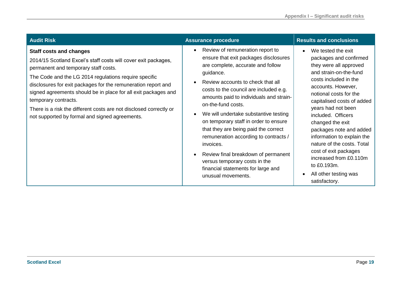| <b>Audit Risk</b>                                                                                                                                                                                                                                                                                                                                                                                                                                                                    | <b>Assurance procedure</b>                                                                                                                                                                                                                                                                                                                                                                                                                                                                                                                                                                                   | <b>Results and conclusions</b>                                                                                                                                                                                                                                                                                                                                                                                                                                                               |
|--------------------------------------------------------------------------------------------------------------------------------------------------------------------------------------------------------------------------------------------------------------------------------------------------------------------------------------------------------------------------------------------------------------------------------------------------------------------------------------|--------------------------------------------------------------------------------------------------------------------------------------------------------------------------------------------------------------------------------------------------------------------------------------------------------------------------------------------------------------------------------------------------------------------------------------------------------------------------------------------------------------------------------------------------------------------------------------------------------------|----------------------------------------------------------------------------------------------------------------------------------------------------------------------------------------------------------------------------------------------------------------------------------------------------------------------------------------------------------------------------------------------------------------------------------------------------------------------------------------------|
| <b>Staff costs and changes</b><br>2014/15 Scotland Excel's staff costs will cover exit packages,<br>permanent and temporary staff costs.<br>The Code and the LG 2014 regulations require specific<br>disclosures for exit packages for the remuneration report and<br>signed agreements should be in place for all exit packages and<br>temporary contracts.<br>There is a risk the different costs are not disclosed correctly or<br>not supported by formal and signed agreements. | Review of remuneration report to<br>$\bullet$<br>ensure that exit packages disclosures<br>are complete, accurate and follow<br>guidance.<br>Review accounts to check that all<br>costs to the council are included e.g.<br>amounts paid to individuals and strain-<br>on-the-fund costs.<br>We will undertake substantive testing<br>on temporary staff in order to ensure<br>that they are being paid the correct<br>remuneration according to contracts /<br>invoices.<br>Review final breakdown of permanent<br>versus temporary costs in the<br>financial statements for large and<br>unusual movements. | We tested the exit<br>$\bullet$<br>packages and confirmed<br>they were all approved<br>and strain-on-the-fund<br>costs included in the<br>accounts. However,<br>notional costs for the<br>capitalised costs of added<br>years had not been<br>included. Officers<br>changed the exit<br>packages note and added<br>information to explain the<br>nature of the costs. Total<br>cost of exit packages<br>increased from £0.110m<br>to £0.193m.<br>All other testing was<br>٠<br>satisfactory. |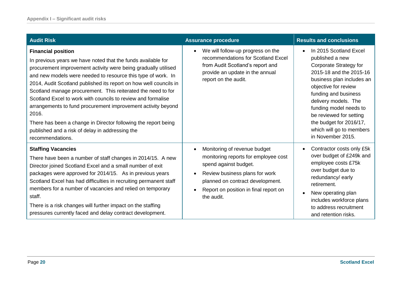| <b>Audit Risk</b>                                                                                                                                                                                                                                                                                                                                                                                                                                                                                                                                                                                                                                  | <b>Assurance procedure</b>                                                                                                                                                                                                 | <b>Results and conclusions</b>                                                                                                                                                                                                                                                                                                                    |
|----------------------------------------------------------------------------------------------------------------------------------------------------------------------------------------------------------------------------------------------------------------------------------------------------------------------------------------------------------------------------------------------------------------------------------------------------------------------------------------------------------------------------------------------------------------------------------------------------------------------------------------------------|----------------------------------------------------------------------------------------------------------------------------------------------------------------------------------------------------------------------------|---------------------------------------------------------------------------------------------------------------------------------------------------------------------------------------------------------------------------------------------------------------------------------------------------------------------------------------------------|
| <b>Financial position</b><br>In previous years we have noted that the funds available for<br>procurement improvement activity were being gradually utilised<br>and new models were needed to resource this type of work. In<br>2014, Audit Scotland published its report on how well councils in<br>Scotland manage procurement. This reiterated the need to for<br>Scotland Excel to work with councils to review and formalise<br>arrangements to fund procurement improvement activity beyond<br>2016.<br>There has been a change in Director following the report being<br>published and a risk of delay in addressing the<br>recommendations. | We will follow-up progress on the<br>recommendations for Scotland Excel<br>from Audit Scotland's report and<br>provide an update in the annual<br>report on the audit.                                                     | In 2015 Scotland Excel<br>$\bullet$<br>published a new<br>Corporate Strategy for<br>2015-18 and the 2015-16<br>business plan includes an<br>objective for review<br>funding and business<br>delivery models. The<br>funding model needs to<br>be reviewed for setting<br>the budget for 2016/17,<br>which will go to members<br>in November 2015. |
| <b>Staffing Vacancies</b><br>There have been a number of staff changes in 2014/15. A new<br>Director joined Scotland Excel and a small number of exit<br>packages were approved for 2014/15. As in previous years<br>Scotland Excel has had difficulties in recruiting permanent staff<br>members for a number of vacancies and relied on temporary<br>staff.<br>There is a risk changes will further impact on the staffing<br>pressures currently faced and delay contract development.                                                                                                                                                          | Monitoring of revenue budget<br>monitoring reports for employee cost<br>spend against budget.<br>Review business plans for work<br>planned on contract development.<br>Report on position in final report on<br>the audit. | Contractor costs only £5k<br>$\bullet$<br>over budget of £249k and<br>employee costs £75k<br>over budget due to<br>redundancy/early<br>retirement.<br>New operating plan<br>$\bullet$<br>includes workforce plans<br>to address recruitment<br>and retention risks.                                                                               |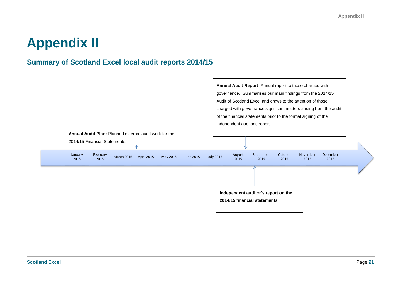# **Appendix II**

### **Summary of Scotland Excel local audit reports 2014/15**

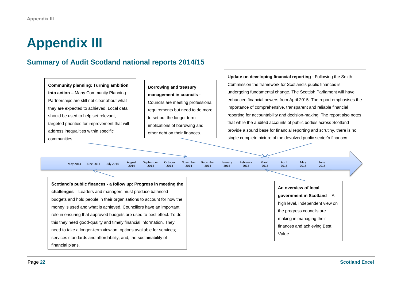# **Appendix III**

## **Summary of Audit Scotland national reports 2014/15**

**Community planning: Turning ambition into action** – Many Community Planning Partnerships are still not clear about what they are expected to achieved. Local data should be used to help set relevant, targeted priorities for improvement that will address inequalities within specific communities.

**Borrowing and treasury management in councils -** Councils are meeting professional requirements but need to do more to set out the longer term implications of borrowing and other debt on their finances.

> October 2014

September 2014

**Update on developing financial reporting -** Following the Smith Commission the framework for Scotland's public finances is undergoing fundamental change. The Scottish Parliament will have enhanced financial powers from April 2015. The report emphasises the importance of comprehensive, transparent and reliable financial reporting for accountability and decision-making. The report also notes that while the audited accounts of public bodies across Scotland provide a sound base for financial reporting and scrutiny, there is no single complete picture of the devolved public sector's finances.

<sup>2014</sup> May 2014 June 2014 July 2014

August<br>2014

December 2014 November 2014

**Scotland's public finances - a follow up: Progress in meeting the challenges –** Leaders and managers must produce balanced budgets and hold people in their organisations to account for how the money is used and what is achieved. Councillors have an important role in ensuring that approved budgets are used to best effect. To do this they need good-quality and timely financial information. They need to take a longer-term view on: options available for services; services standards and affordability; and, the sustainability of financial plans.

**An overview of local government in Scotland –** A high level, independent view on the progress councils are making in managing their finances and achieving Best Value.

May 2015

April 2015

March 2015

February 2015

January 2015

June 2015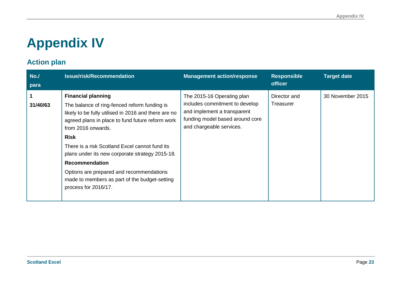# **Appendix IV**

## **Action plan**

| No.<br>para | <b>Issue/risk/Recommendation</b>                                                                                                                                                                                                                                                                                                                                                                                                                                       | <b>Management action/response</b>                                                                                                                          | <b>Responsible</b><br><b>officer</b> | <b>Target date</b> |
|-------------|------------------------------------------------------------------------------------------------------------------------------------------------------------------------------------------------------------------------------------------------------------------------------------------------------------------------------------------------------------------------------------------------------------------------------------------------------------------------|------------------------------------------------------------------------------------------------------------------------------------------------------------|--------------------------------------|--------------------|
| 31/40/63    | <b>Financial planning</b><br>The balance of ring-fenced reform funding is<br>likely to be fully utilised in 2016 and there are no<br>agreed plans in place to fund future reform work<br>from 2016 onwards.<br><b>Risk</b><br>There is a risk Scotland Excel cannot fund its<br>plans under its new corporate strategy 2015-18.<br>Recommendation<br>Options are prepared and recommendations<br>made to members as part of the budget-setting<br>process for 2016/17. | The 2015-16 Operating plan<br>includes commitment to develop<br>and implement a transparent<br>funding model based around core<br>and chargeable services. | Director and<br>Treasurer            | 30 November 2015   |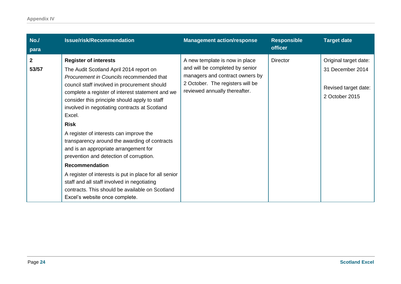| No.<br>para           | <b>Issue/risk/Recommendation</b>                                                                                                                                                                                                                                                                                                                                                                                                                                                                                                                                                                                                                                                                                                                          | <b>Management action/response</b>                                                                                                                                         | <b>Responsible</b><br><b>officer</b> | <b>Target date</b>                                                                  |
|-----------------------|-----------------------------------------------------------------------------------------------------------------------------------------------------------------------------------------------------------------------------------------------------------------------------------------------------------------------------------------------------------------------------------------------------------------------------------------------------------------------------------------------------------------------------------------------------------------------------------------------------------------------------------------------------------------------------------------------------------------------------------------------------------|---------------------------------------------------------------------------------------------------------------------------------------------------------------------------|--------------------------------------|-------------------------------------------------------------------------------------|
| $\mathbf{2}$<br>53/57 | <b>Register of interests</b><br>The Audit Scotland April 2014 report on<br>Procurement in Councils recommended that<br>council staff involved in procurement should<br>complete a register of interest statement and we<br>consider this principle should apply to staff<br>involved in negotiating contracts at Scotland<br>Excel.<br><b>Risk</b><br>A register of interests can improve the<br>transparency around the awarding of contracts<br>and is an appropriate arrangement for<br>prevention and detection of corruption.<br><b>Recommendation</b><br>A register of interests is put in place for all senior<br>staff and all staff involved in negotiating<br>contracts. This should be available on Scotland<br>Excel's website once complete. | A new template is now in place<br>and will be completed by senior<br>managers and contract owners by<br>2 October. The registers will be<br>reviewed annually thereafter. | <b>Director</b>                      | Original target date:<br>31 December 2014<br>Revised target date:<br>2 October 2015 |